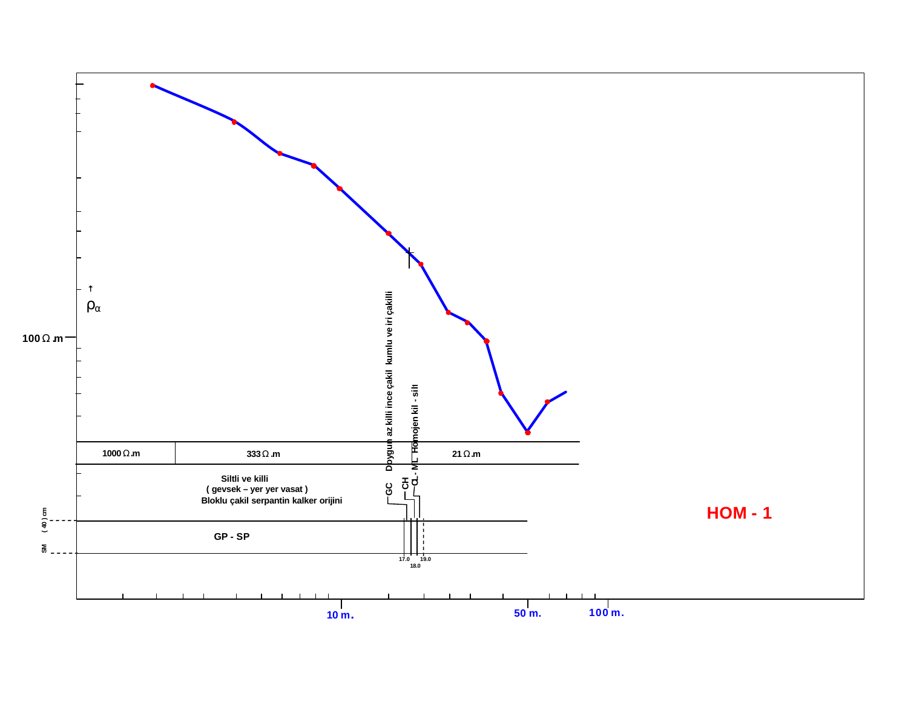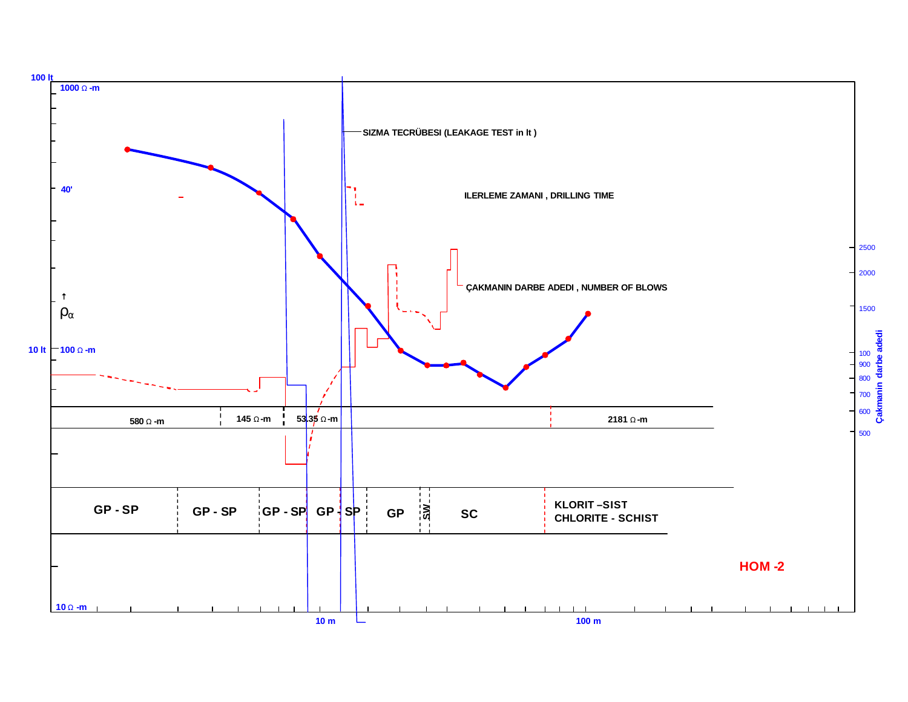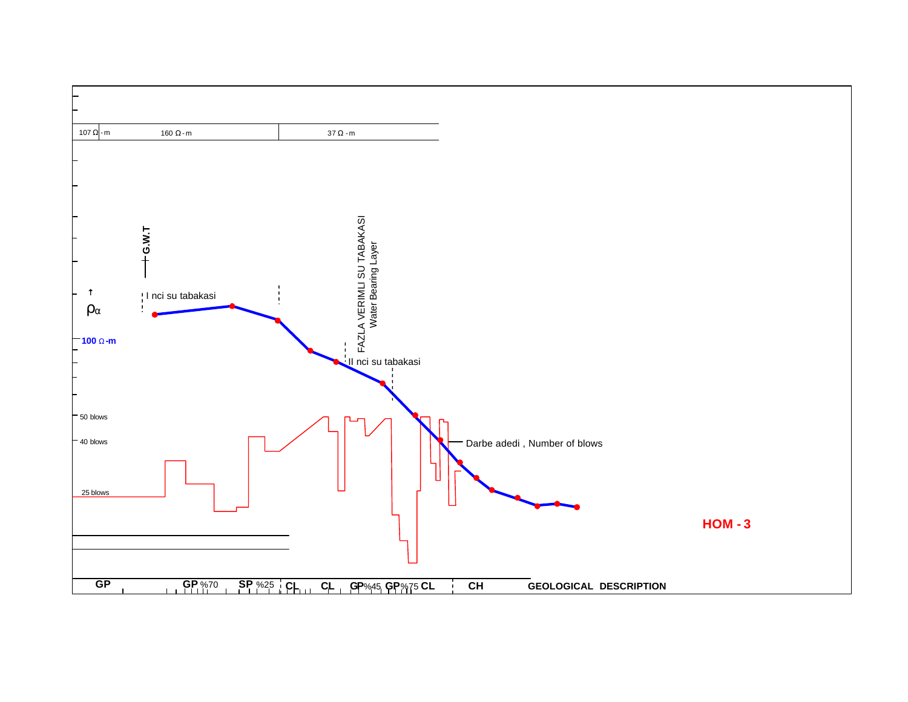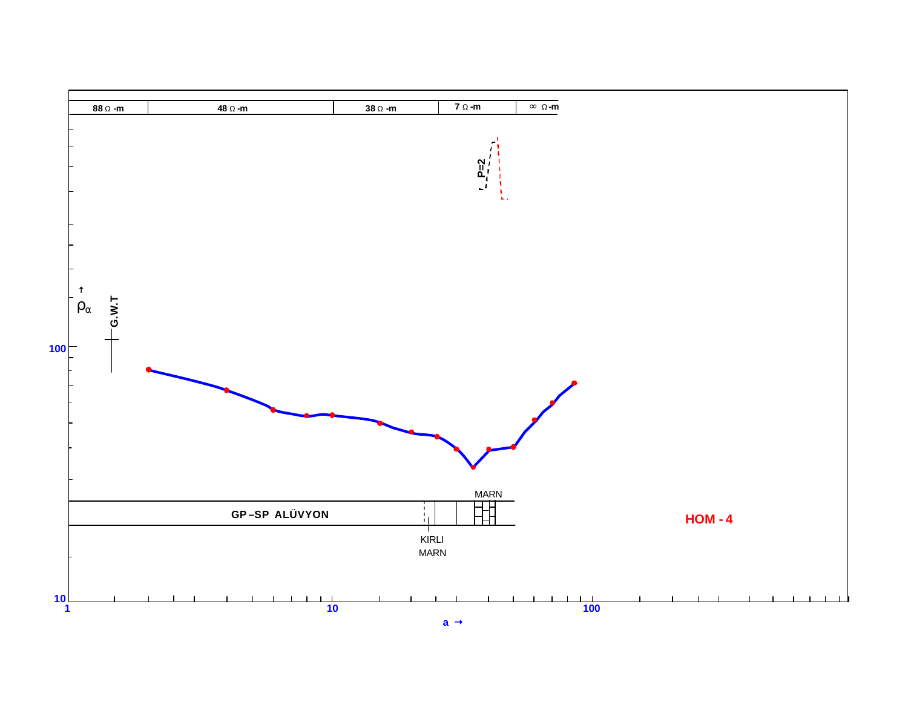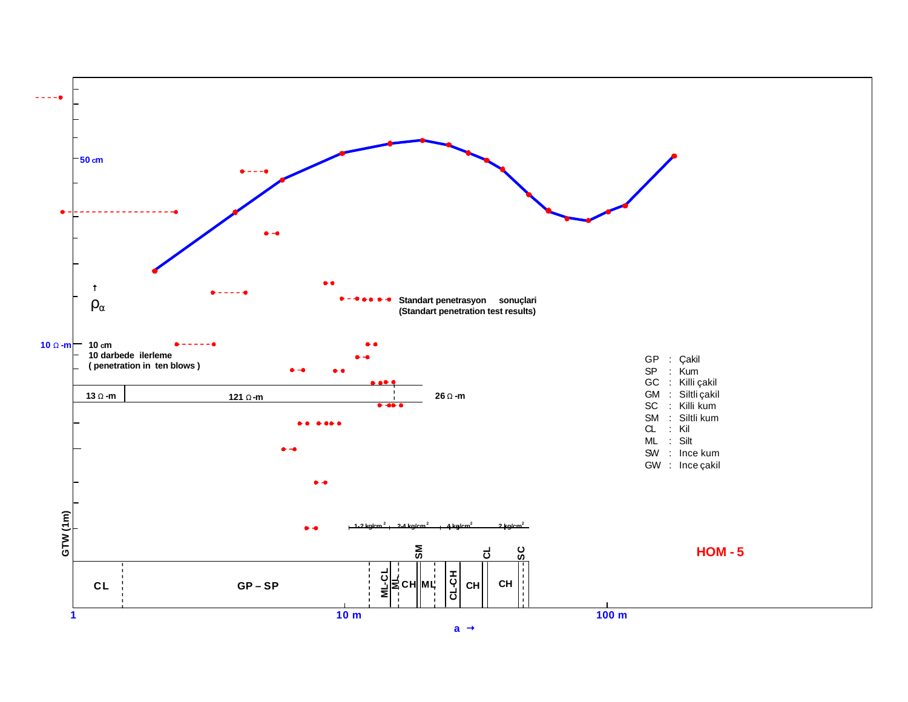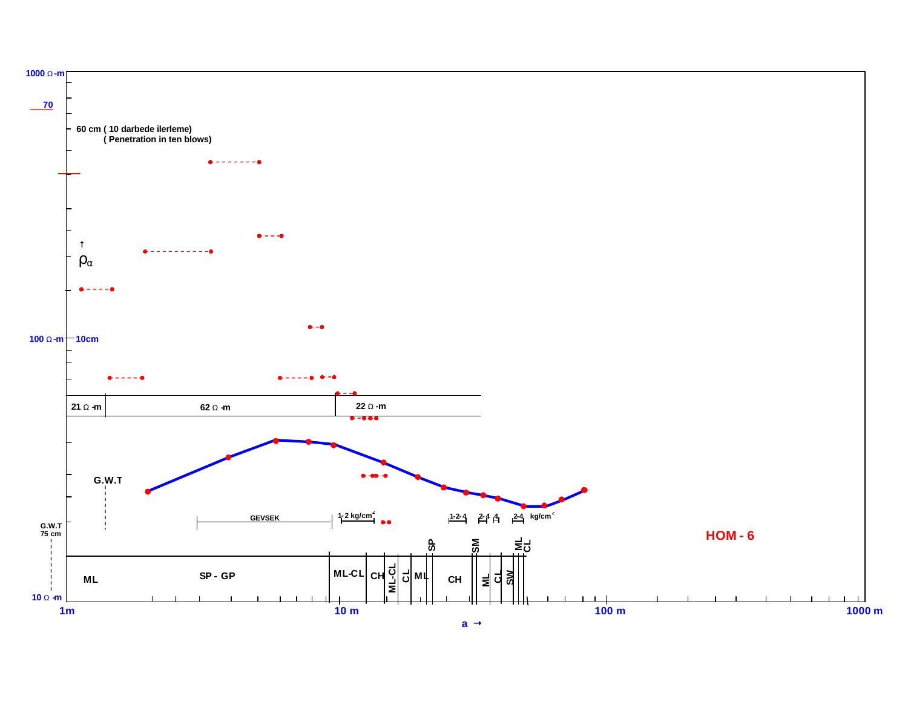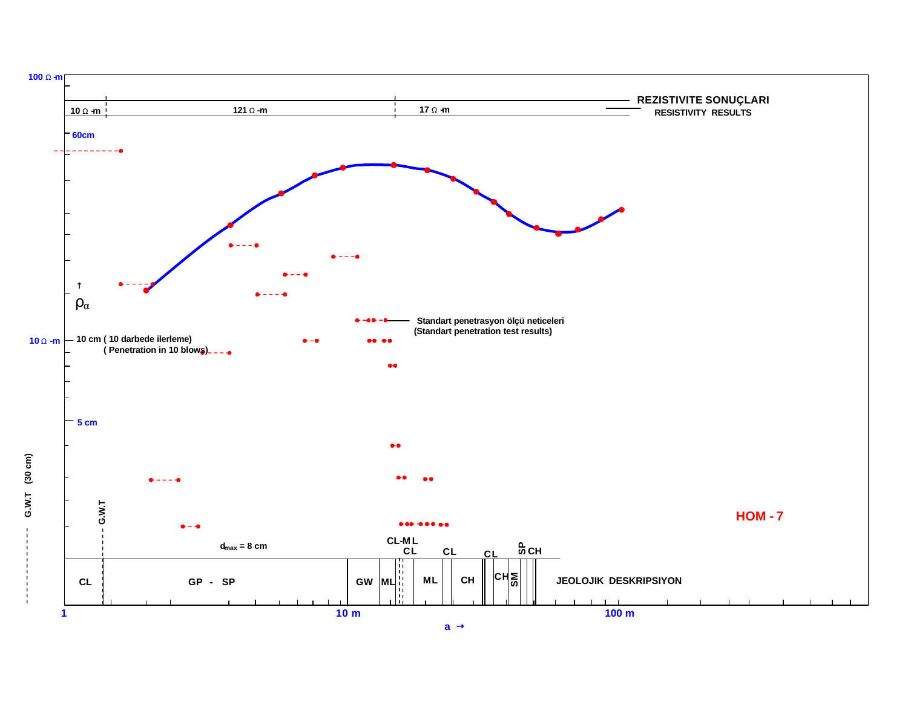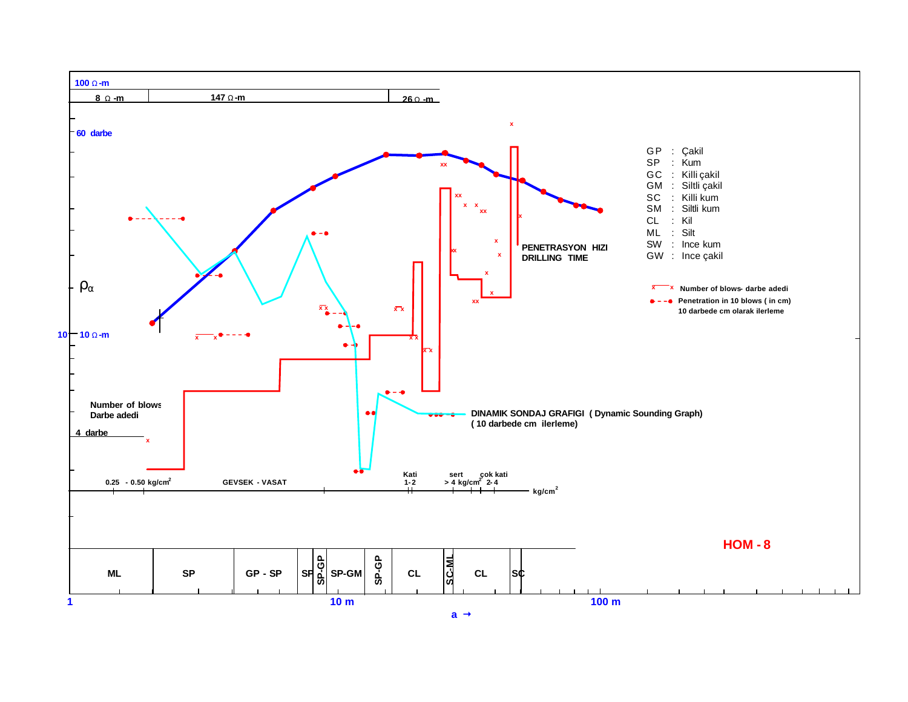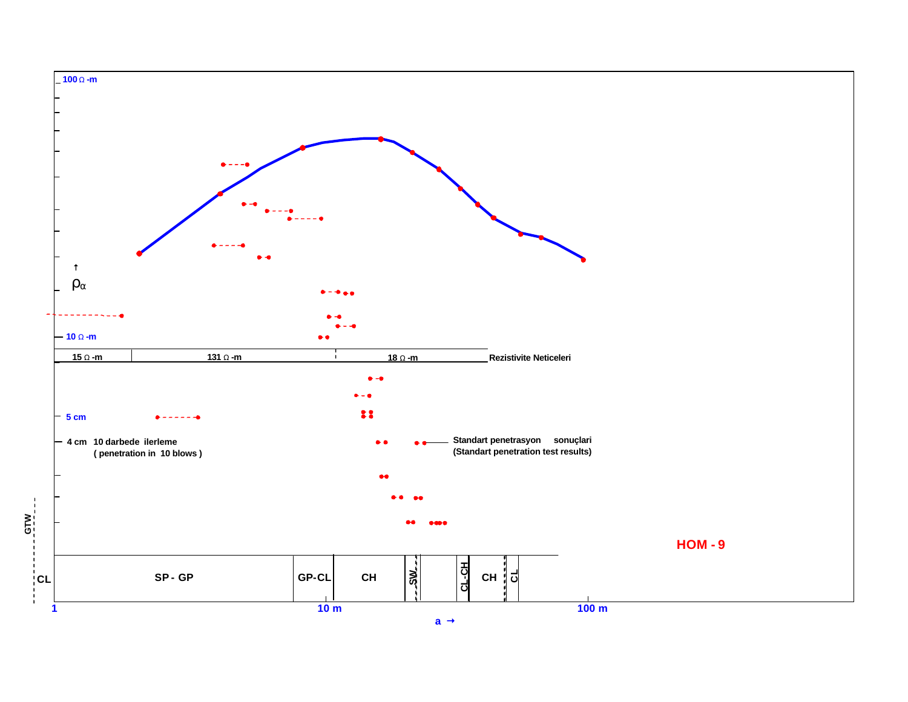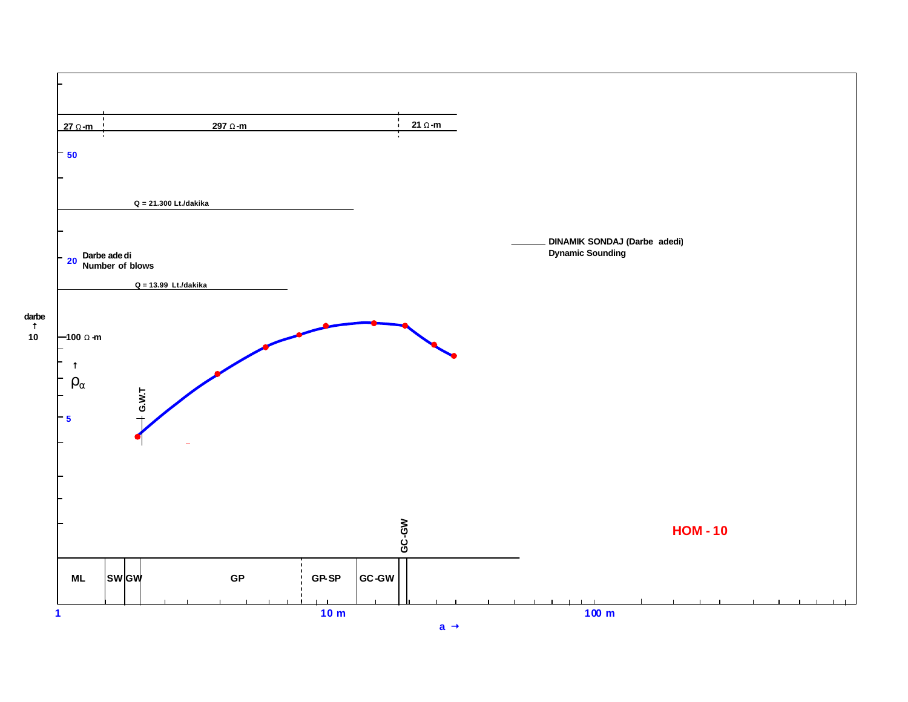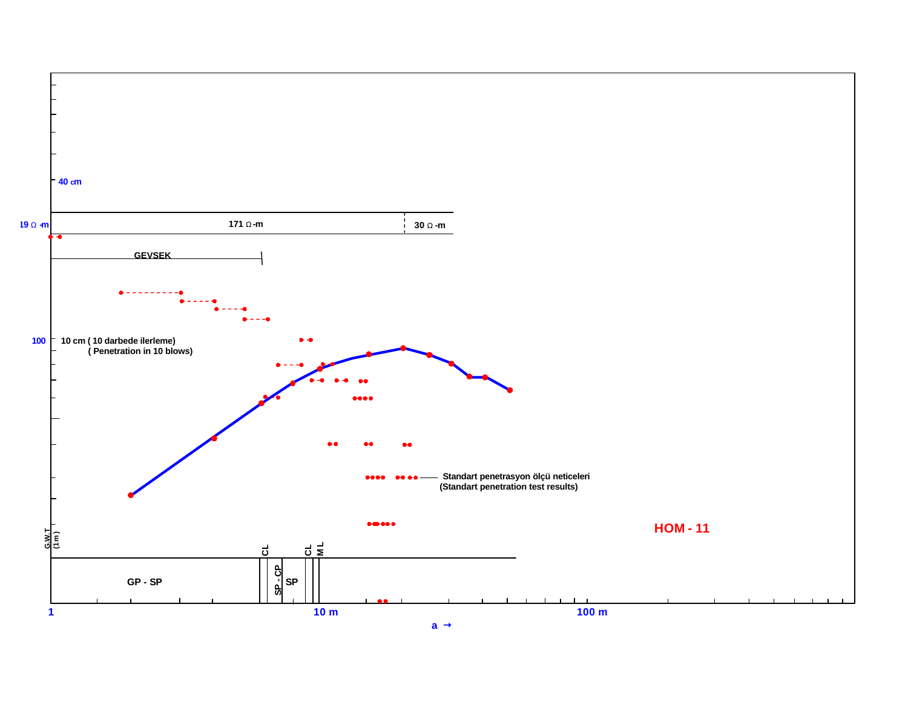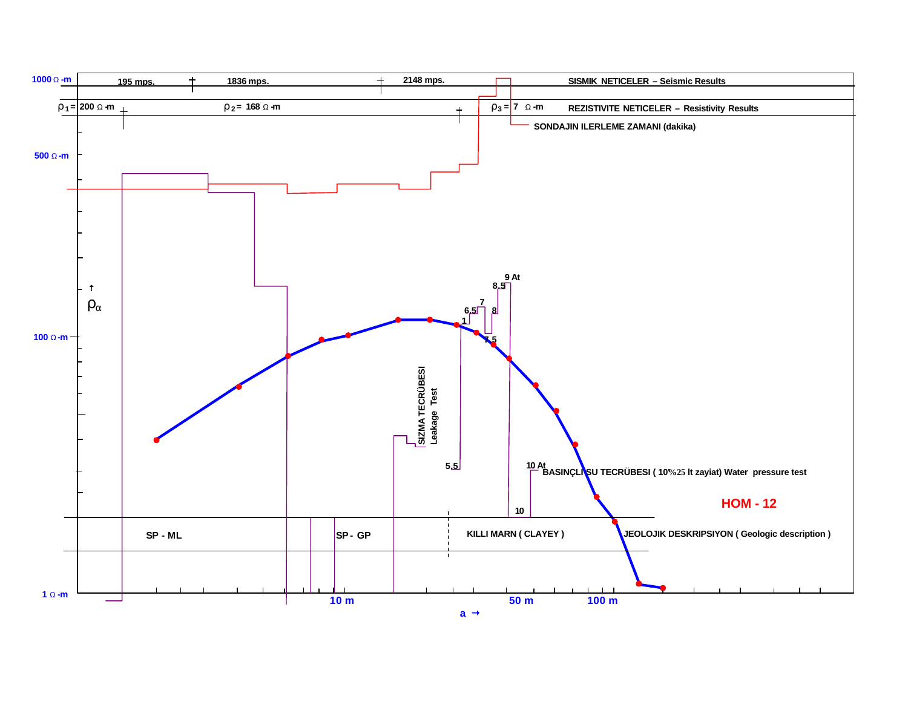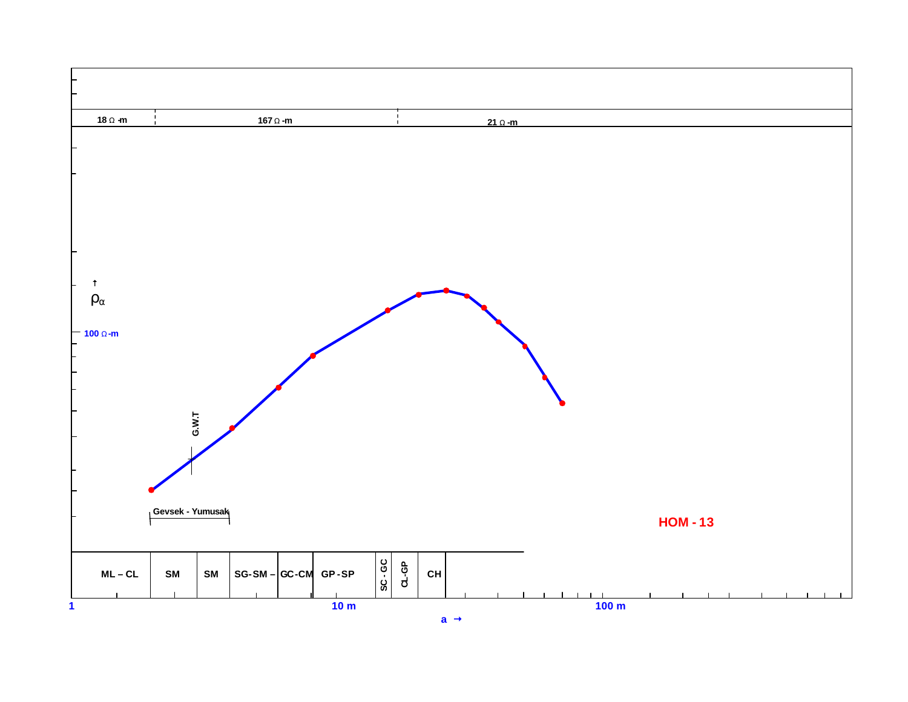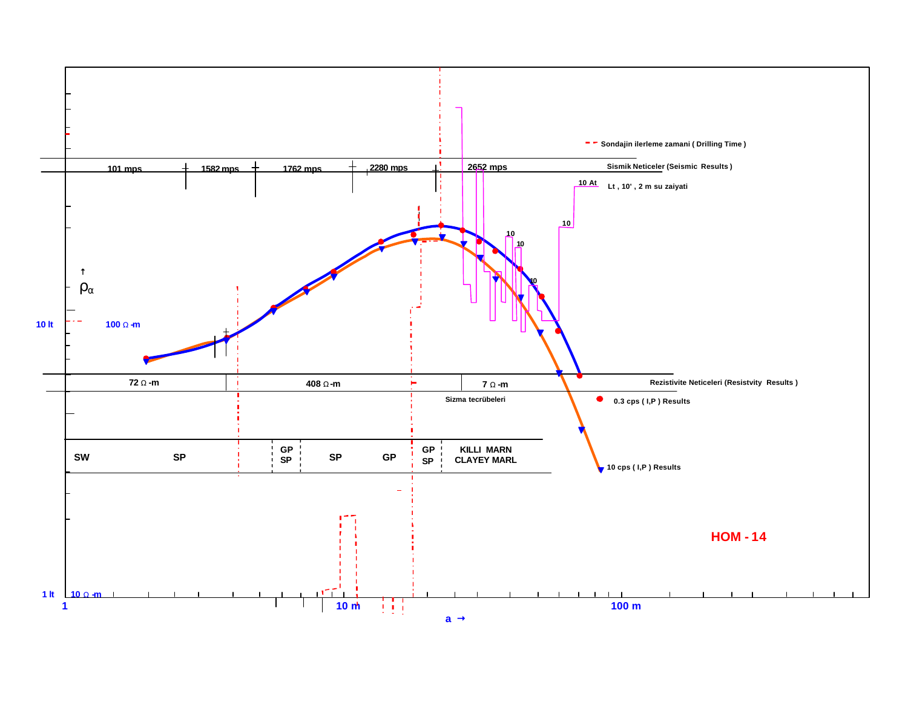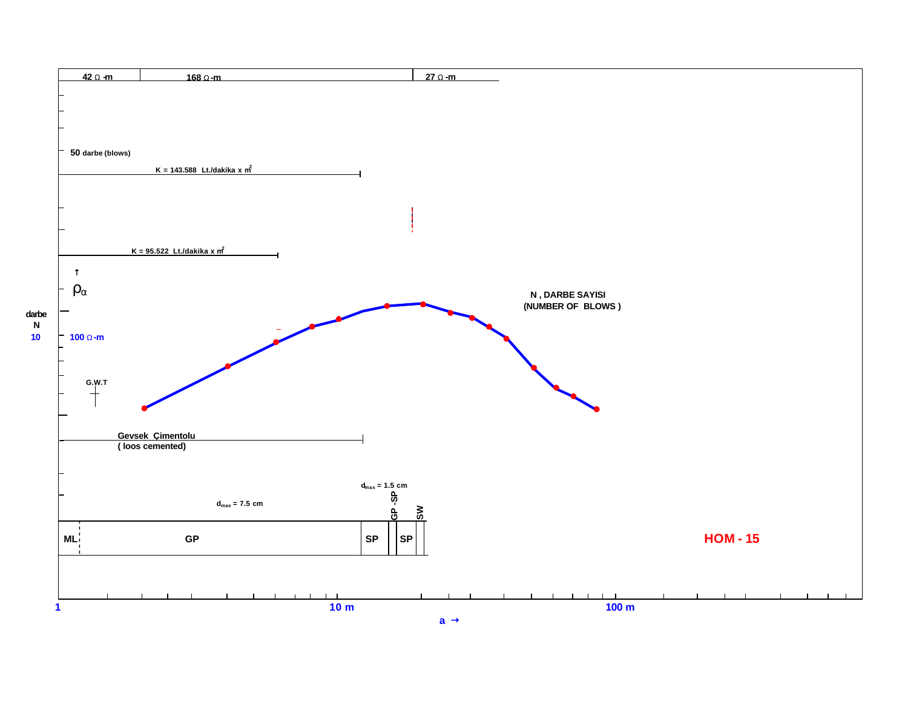![](_page_14_Figure_0.jpeg)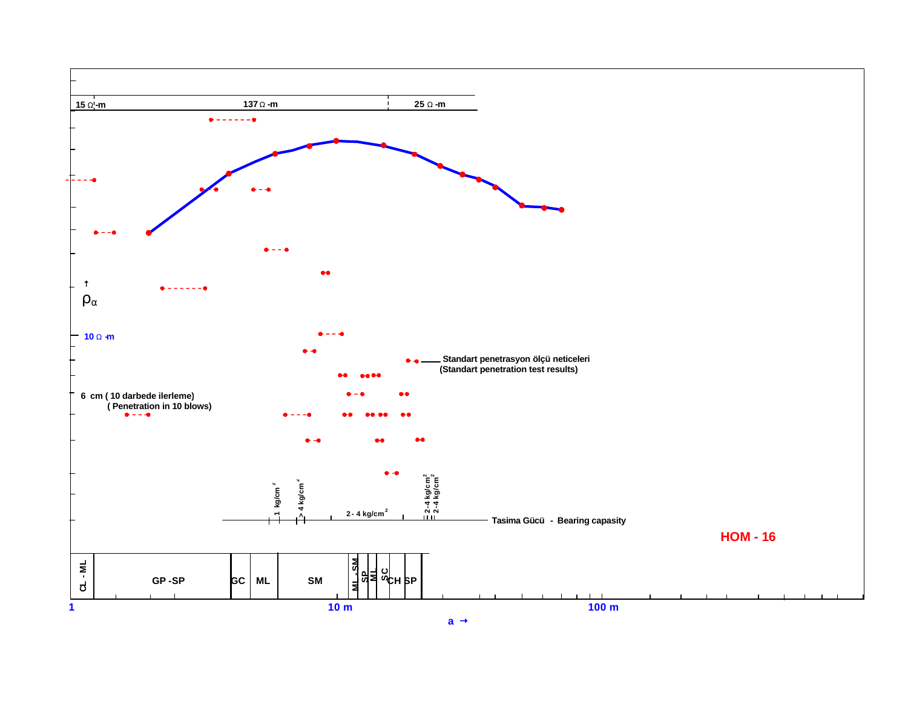![](_page_15_Figure_0.jpeg)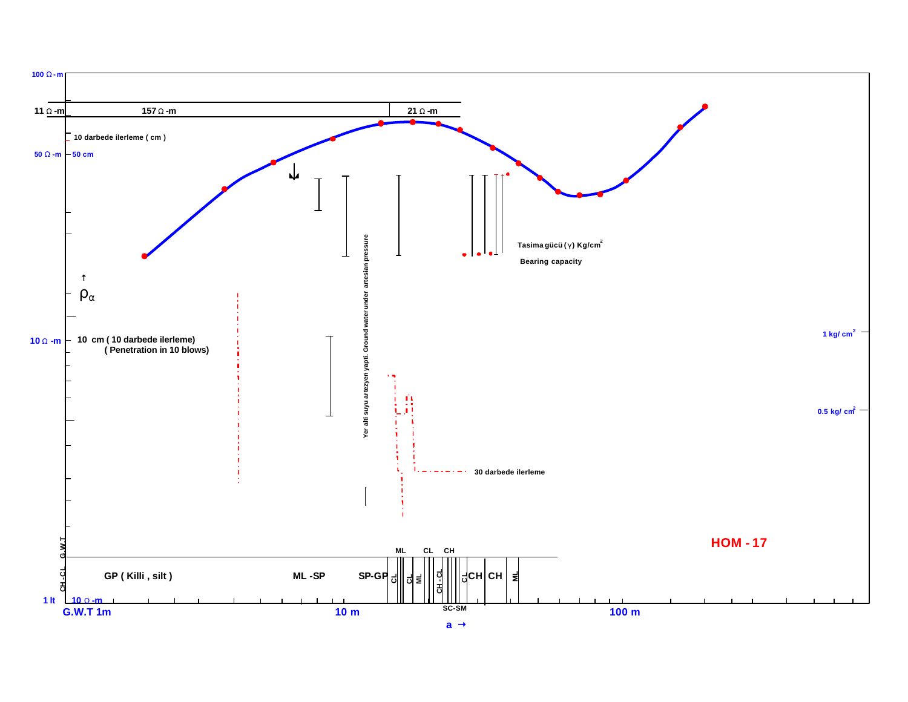![](_page_16_Figure_0.jpeg)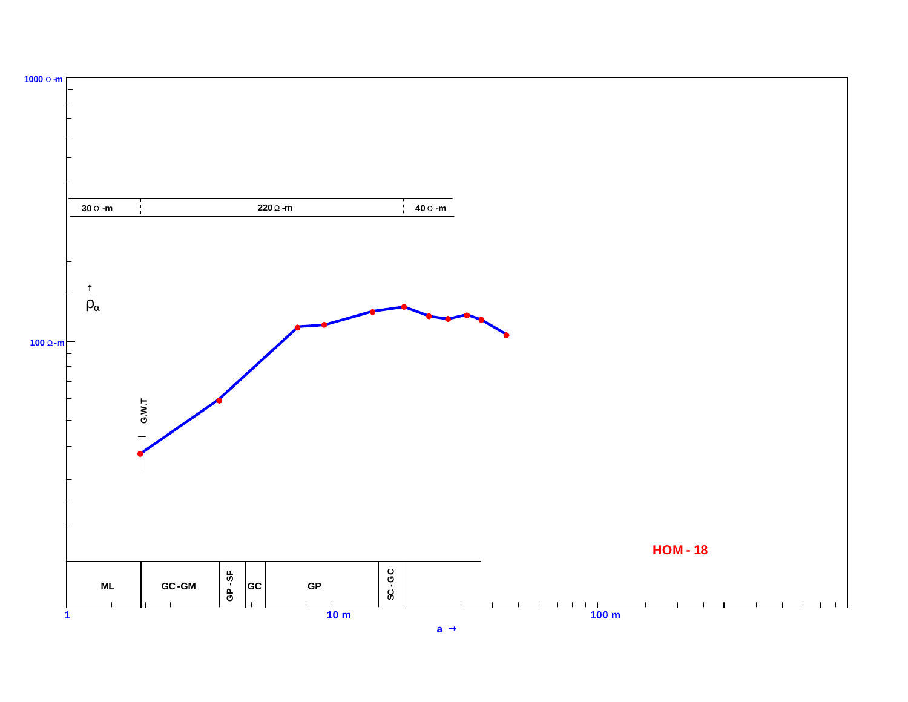![](_page_17_Figure_0.jpeg)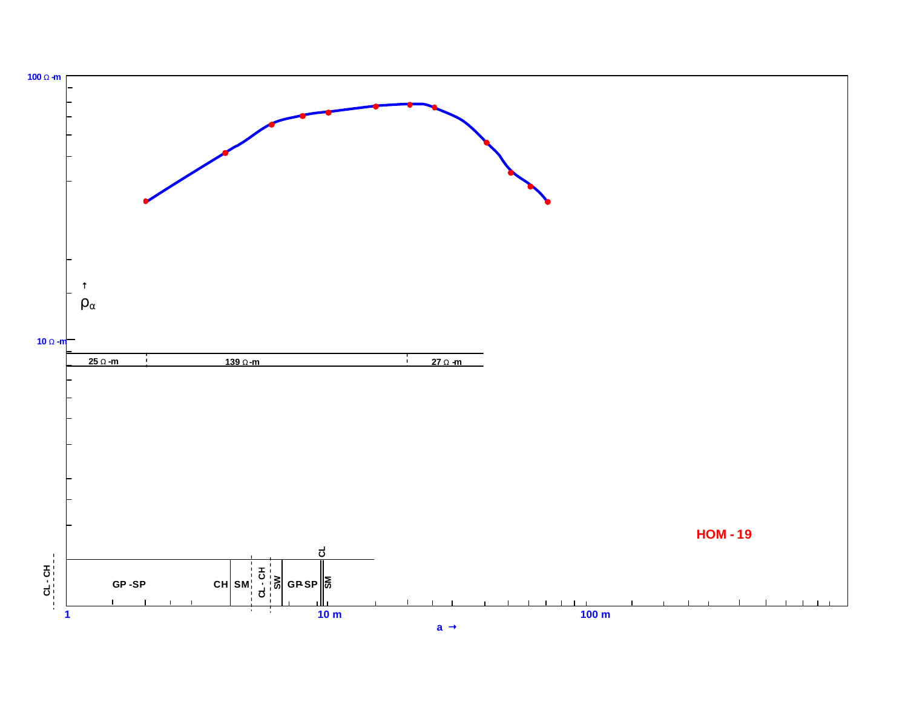![](_page_18_Figure_0.jpeg)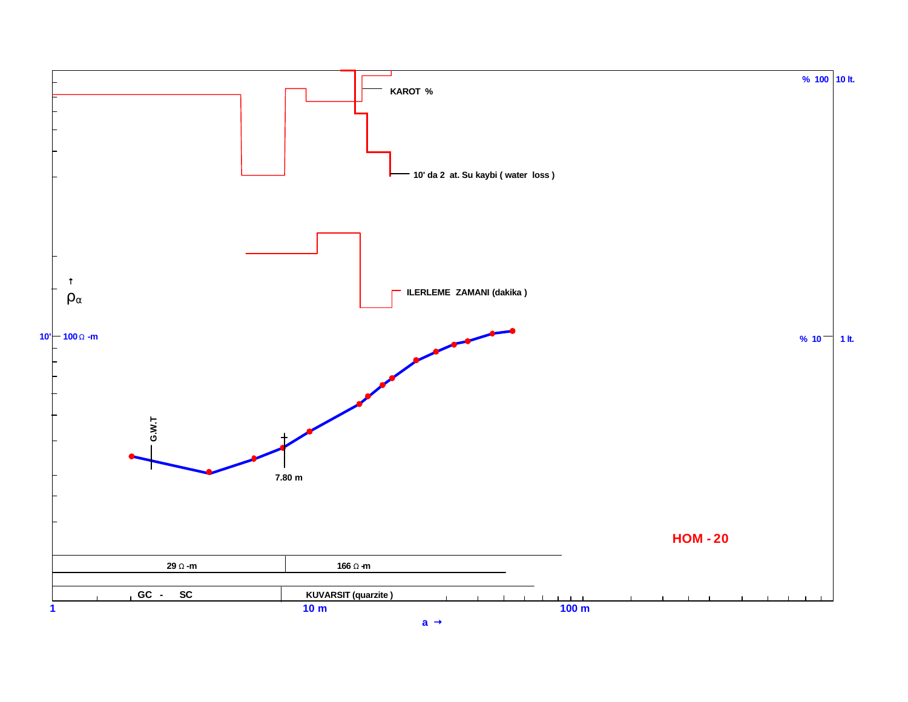![](_page_19_Figure_0.jpeg)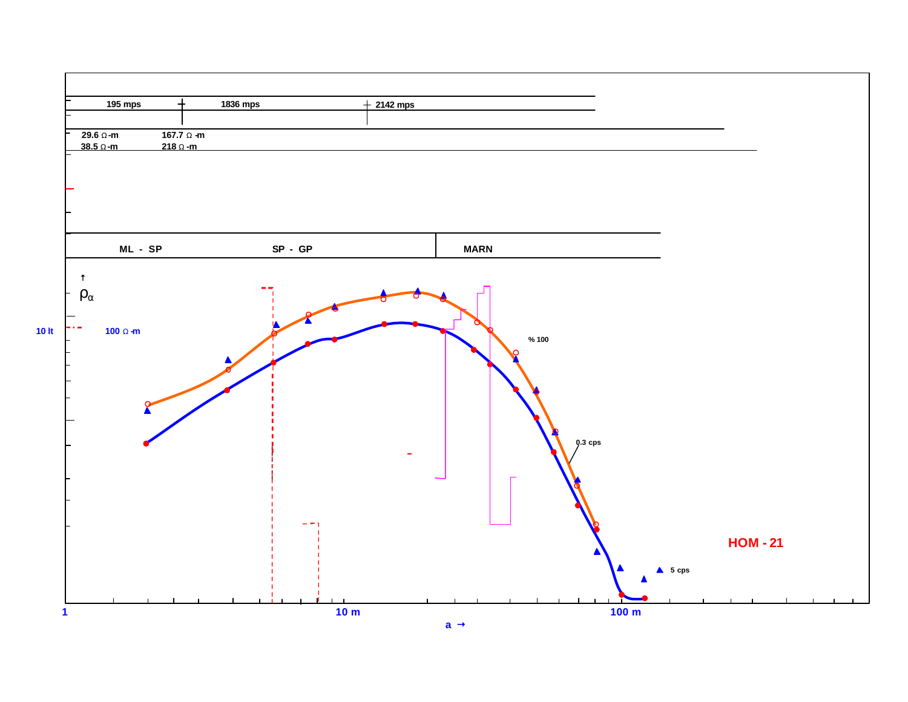![](_page_20_Figure_0.jpeg)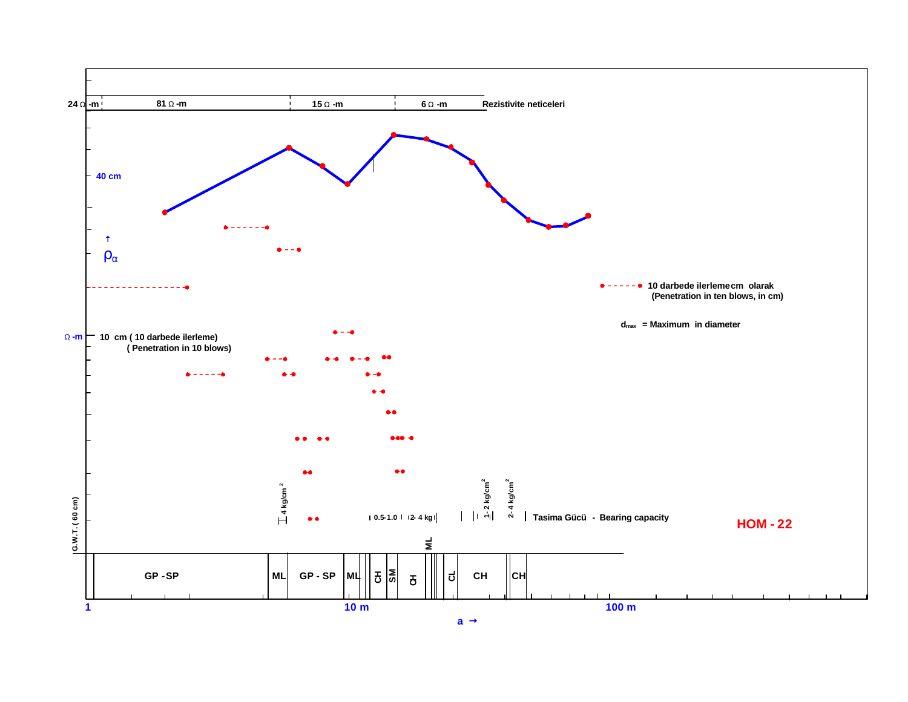![](_page_21_Figure_0.jpeg)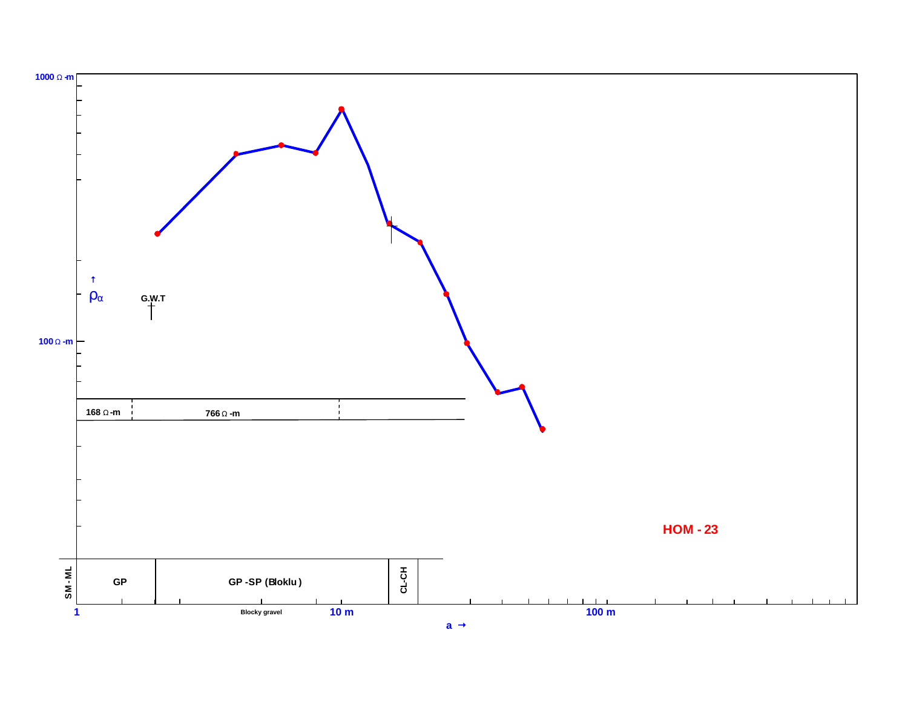![](_page_22_Figure_0.jpeg)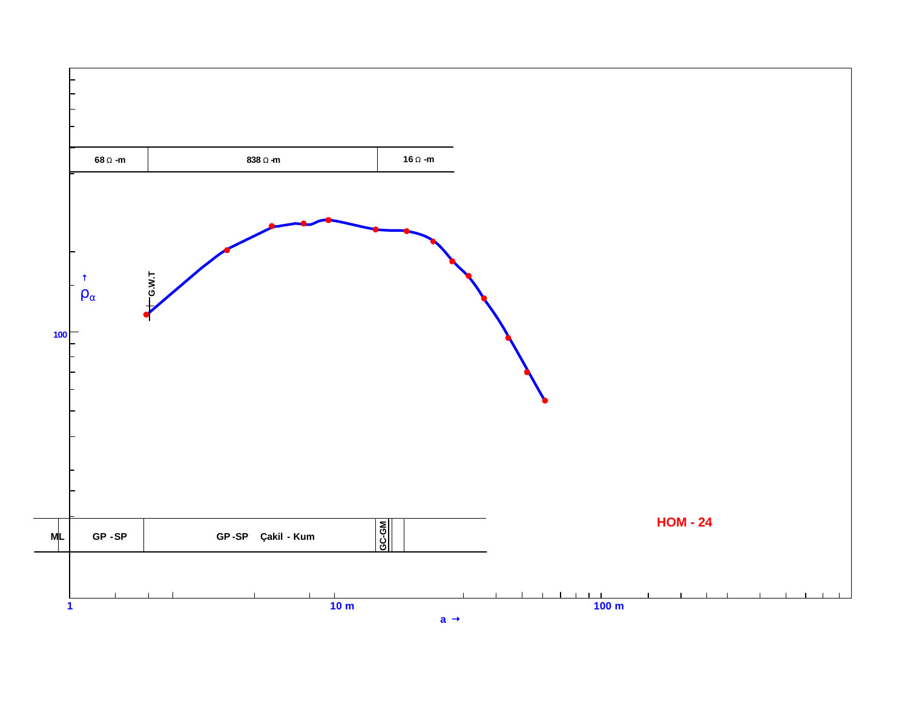![](_page_23_Figure_0.jpeg)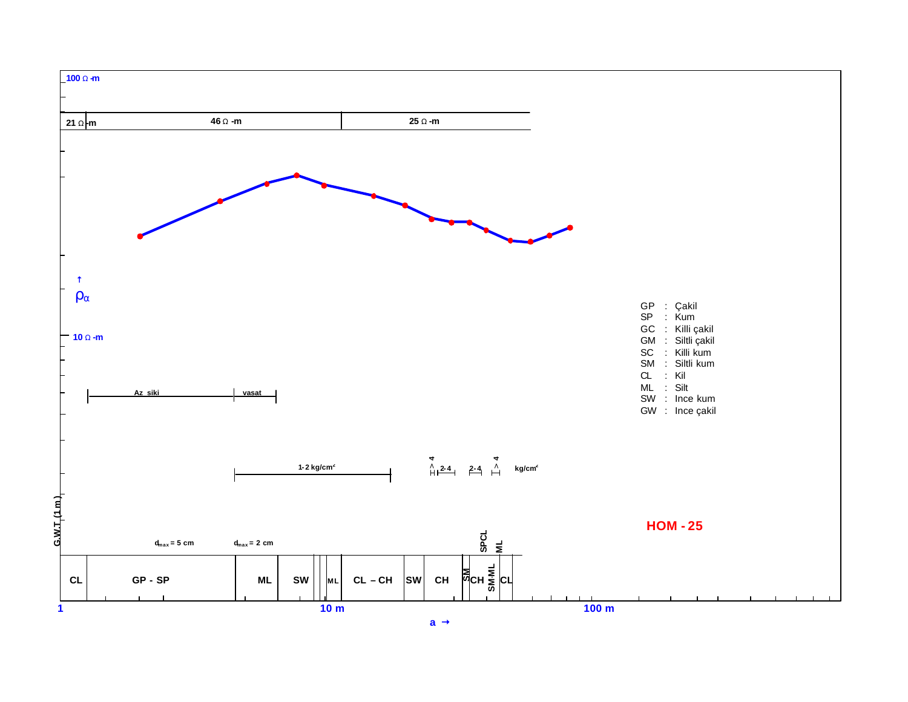![](_page_24_Figure_0.jpeg)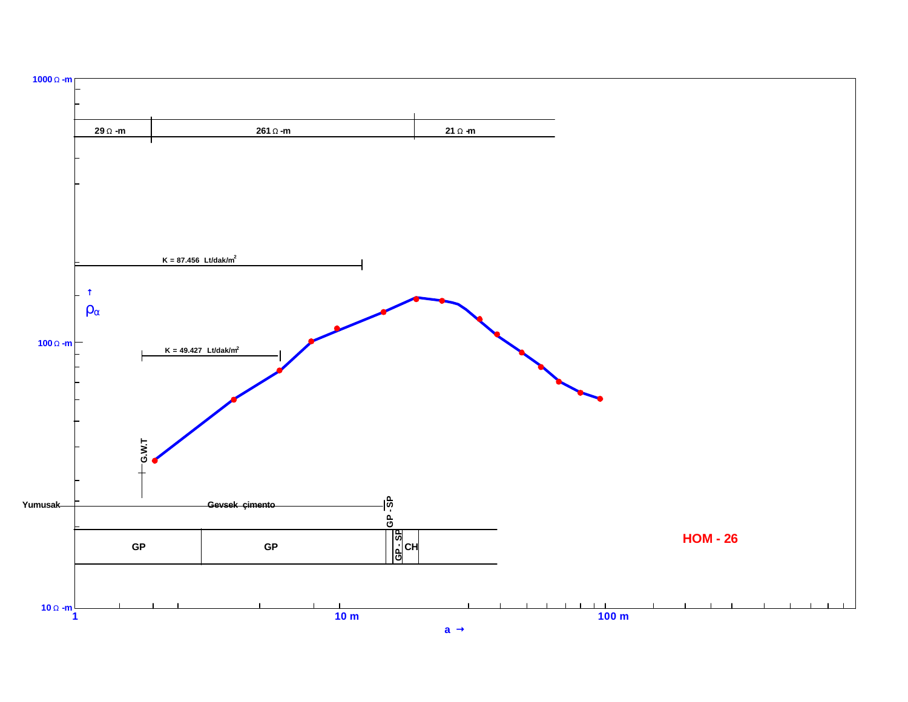![](_page_25_Figure_0.jpeg)

![](_page_25_Figure_1.jpeg)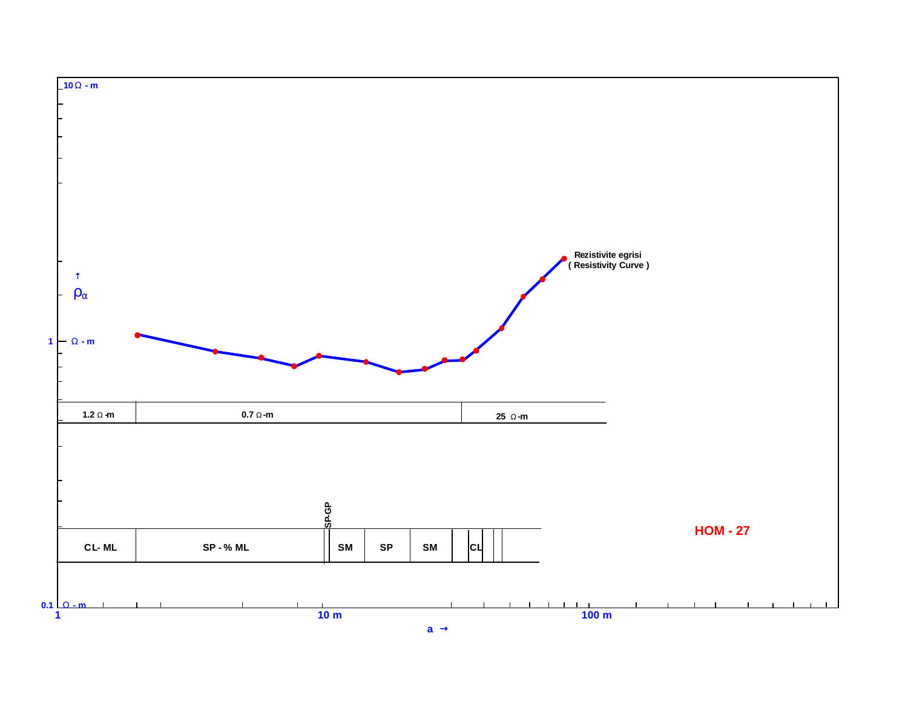![](_page_26_Figure_0.jpeg)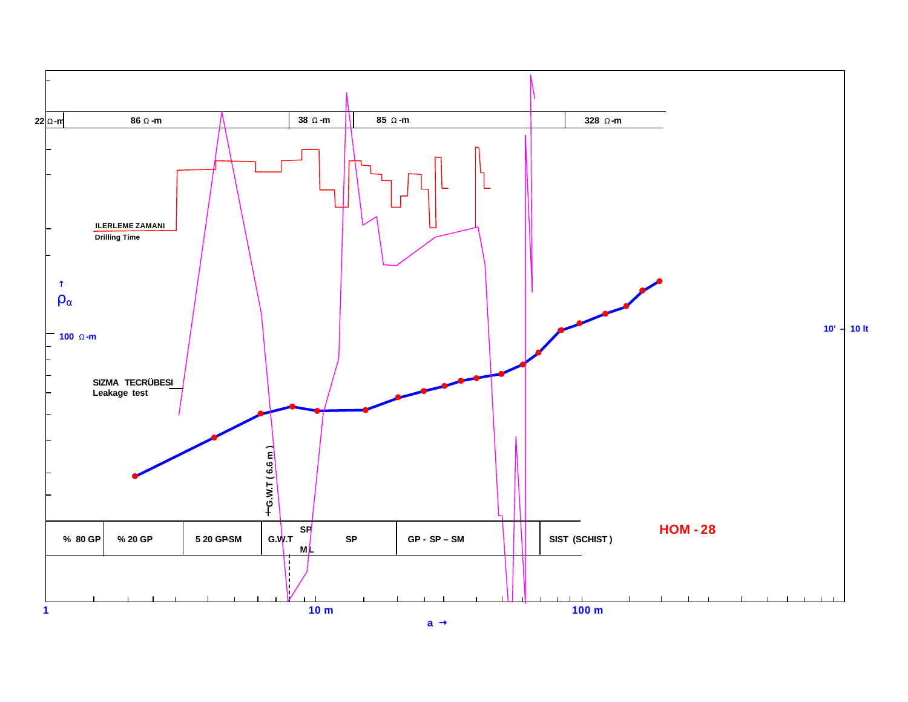![](_page_27_Figure_0.jpeg)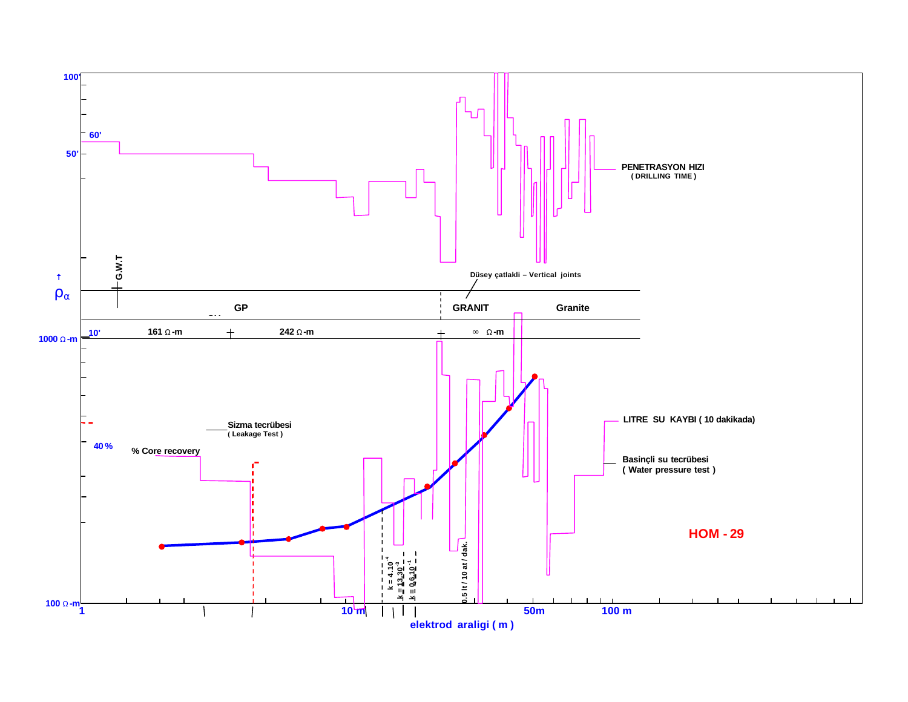![](_page_28_Figure_0.jpeg)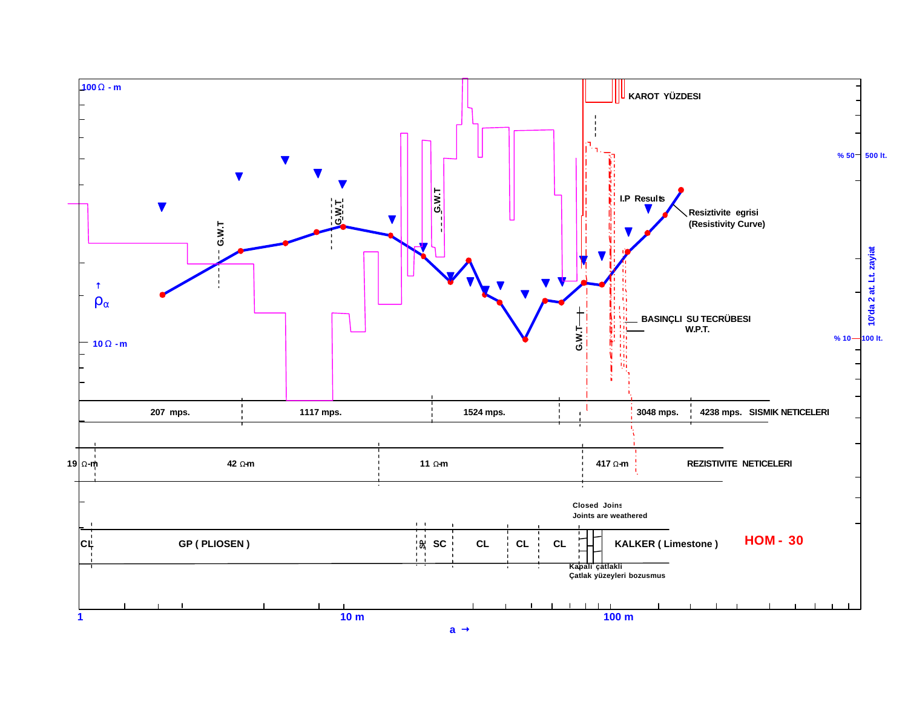![](_page_29_Figure_0.jpeg)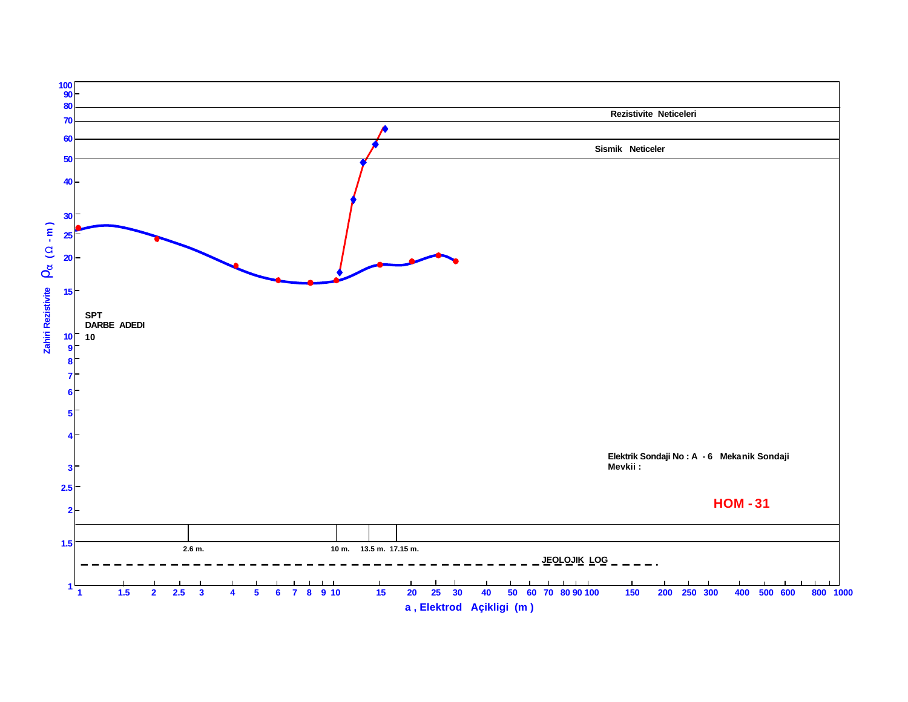![](_page_30_Figure_0.jpeg)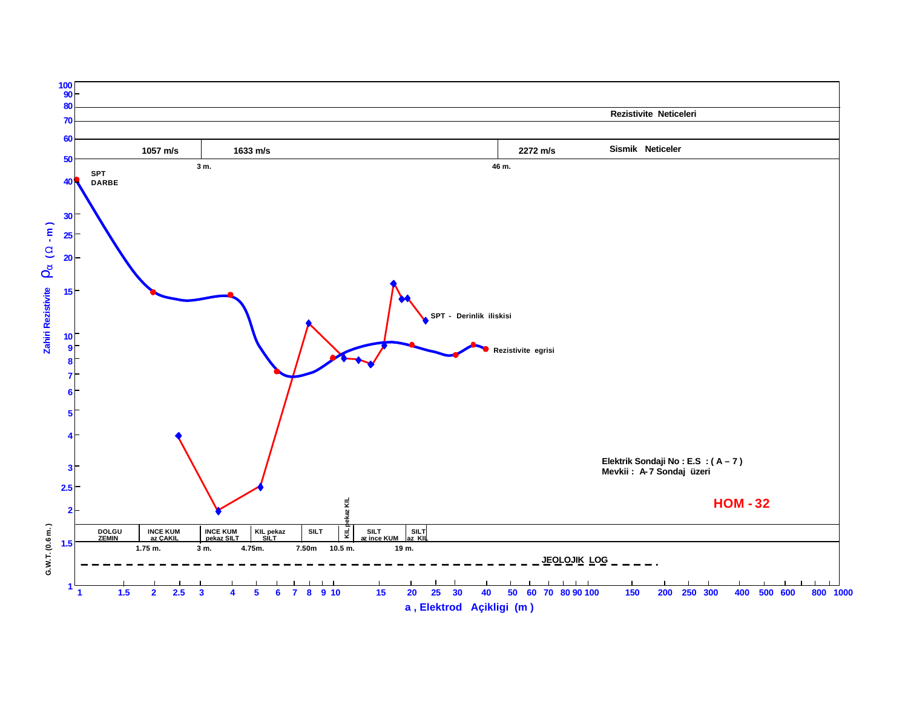![](_page_31_Figure_0.jpeg)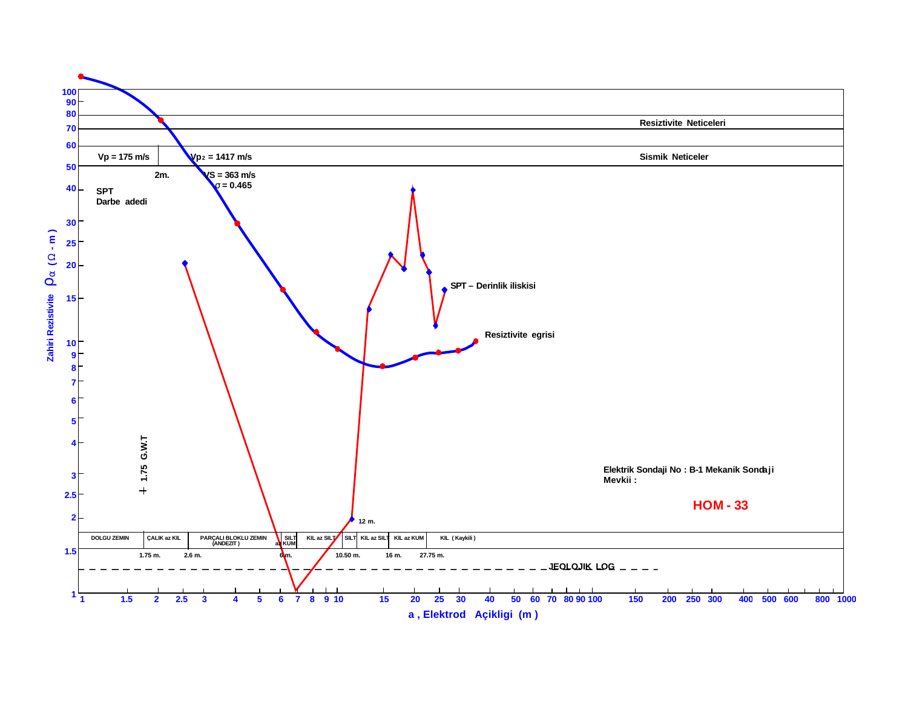![](_page_32_Figure_0.jpeg)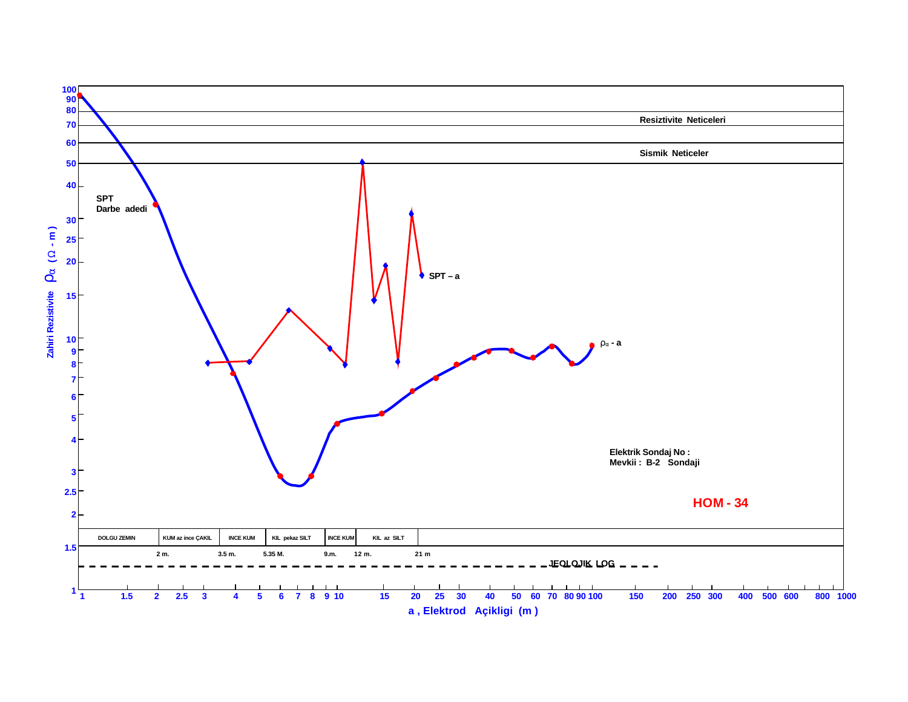![](_page_33_Figure_0.jpeg)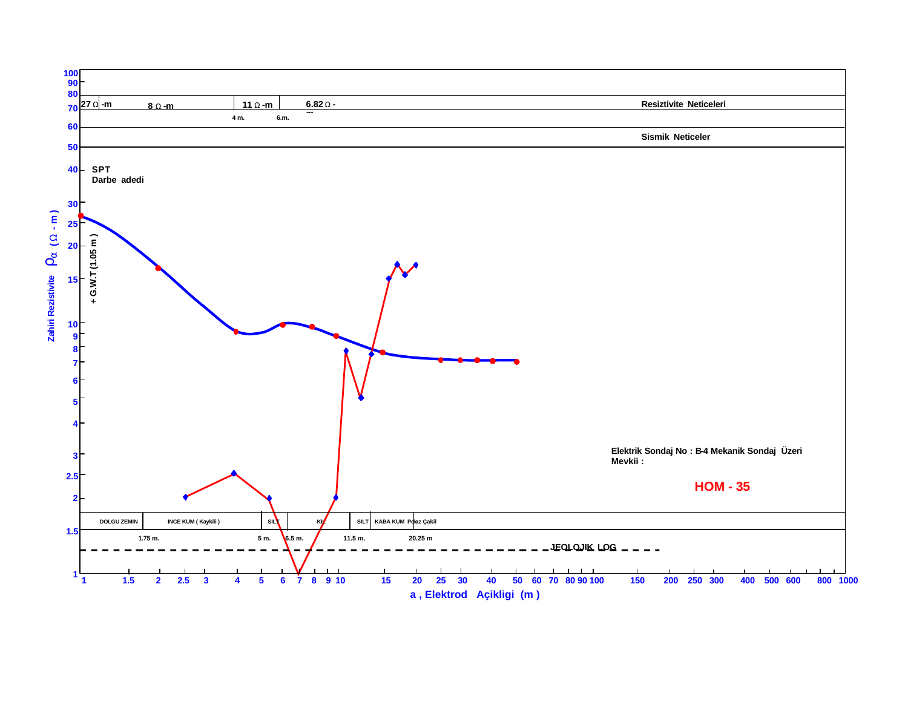![](_page_34_Figure_0.jpeg)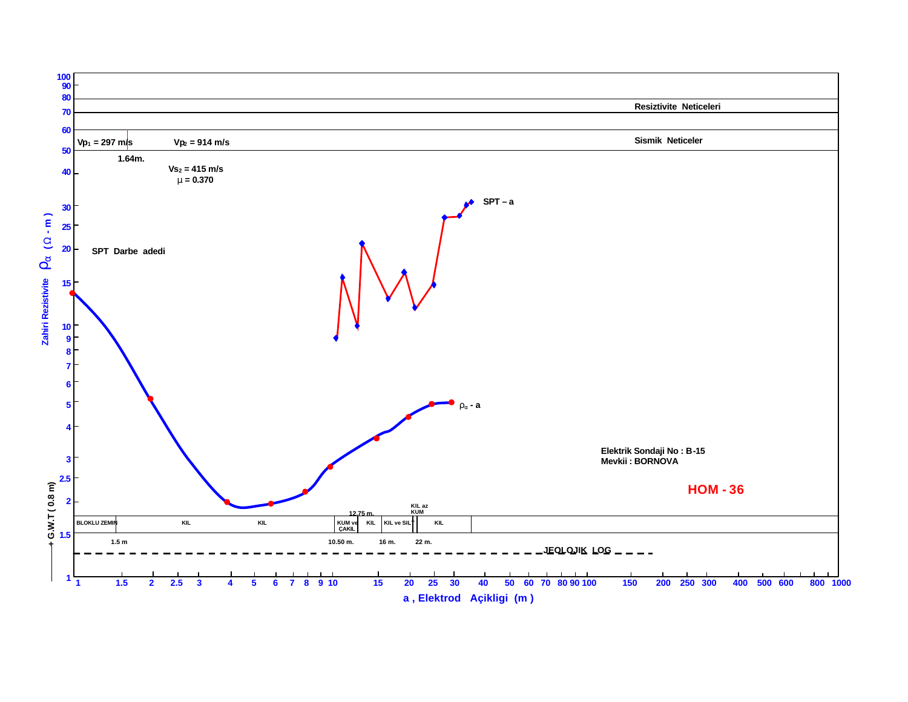![](_page_35_Figure_0.jpeg)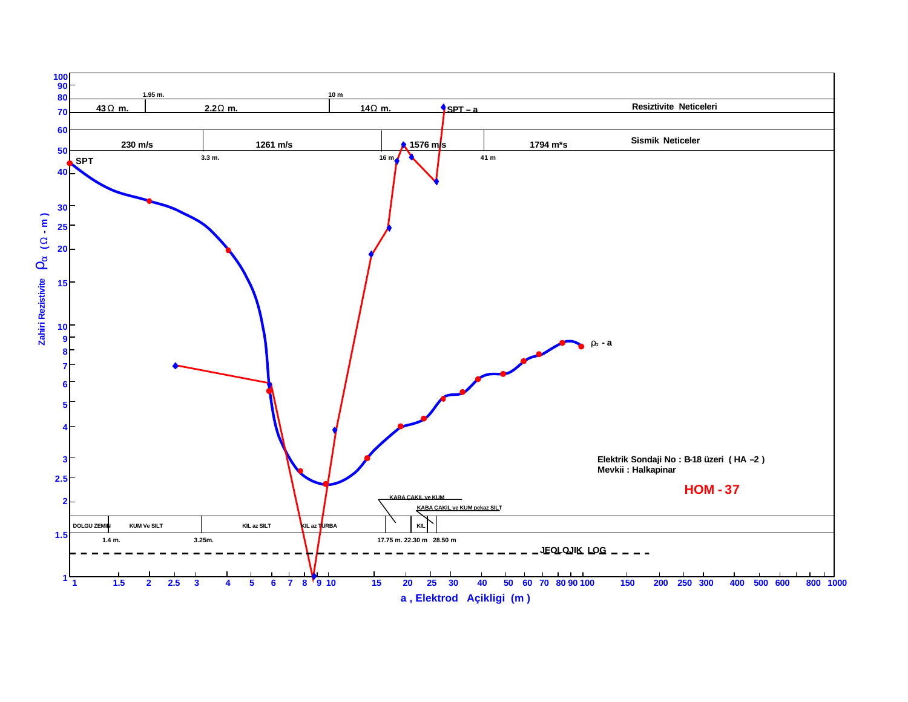![](_page_36_Figure_0.jpeg)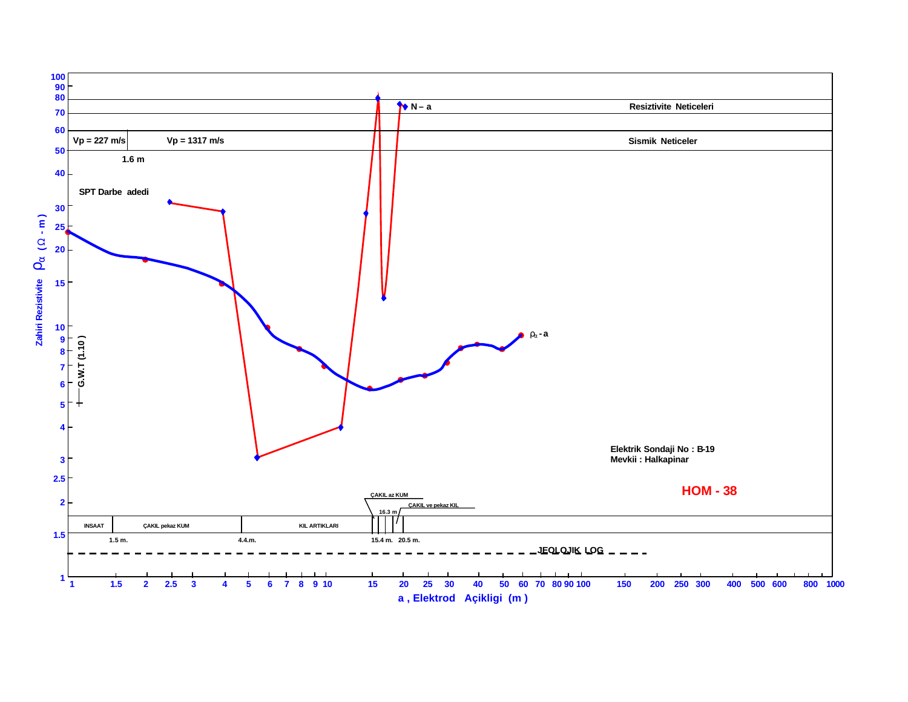![](_page_37_Figure_0.jpeg)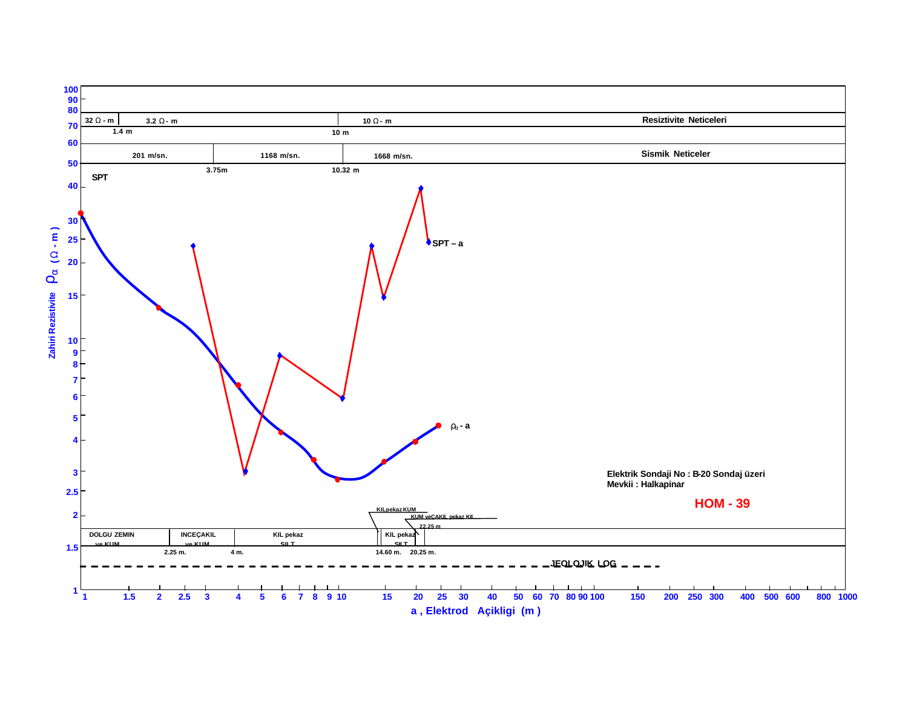![](_page_38_Figure_0.jpeg)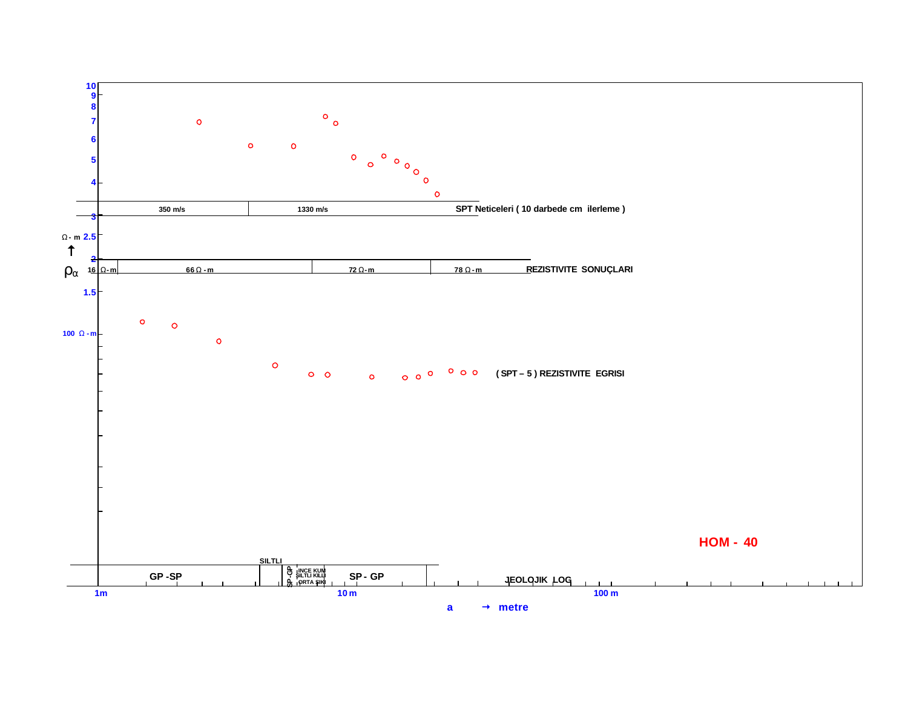![](_page_39_Figure_0.jpeg)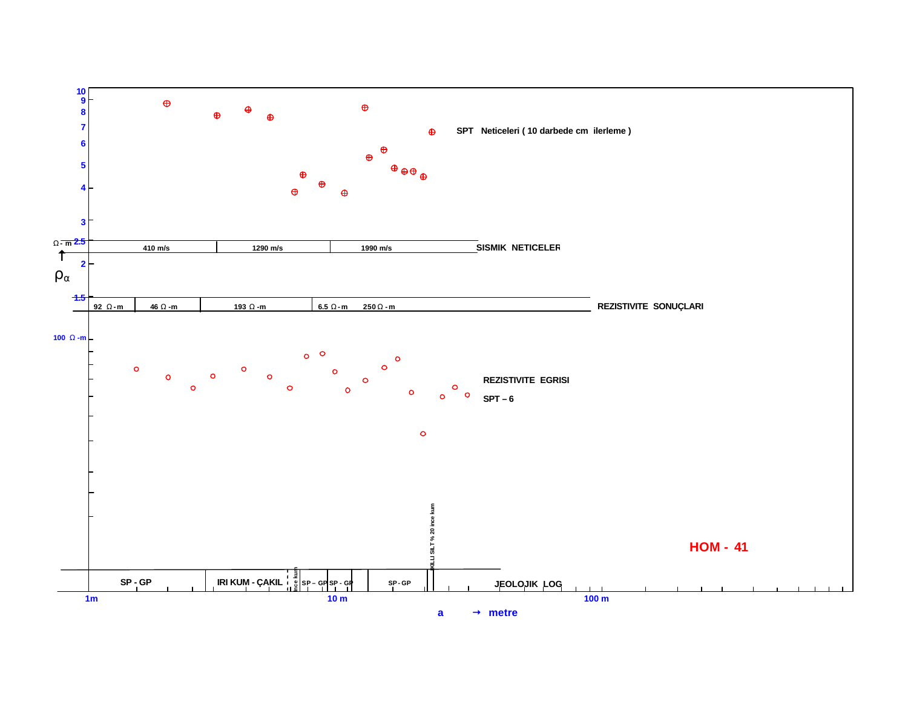![](_page_40_Figure_0.jpeg)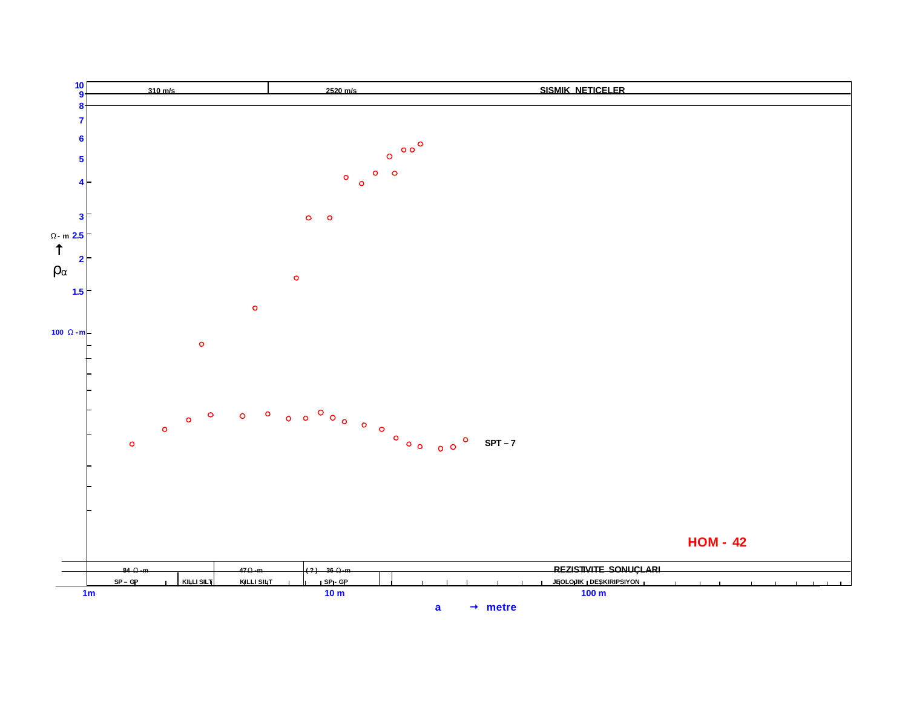![](_page_41_Figure_0.jpeg)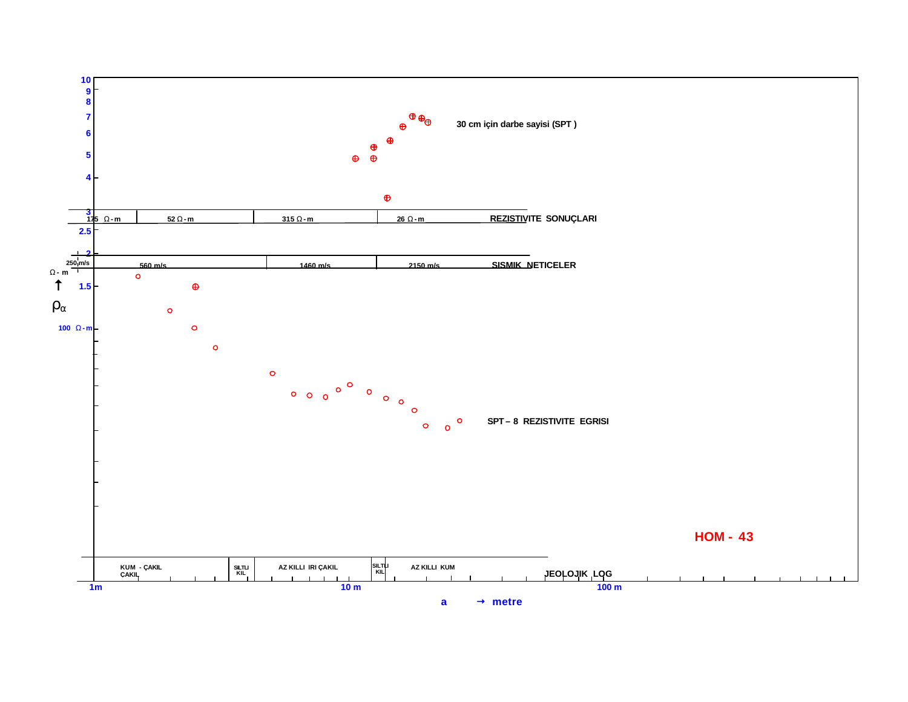![](_page_42_Figure_0.jpeg)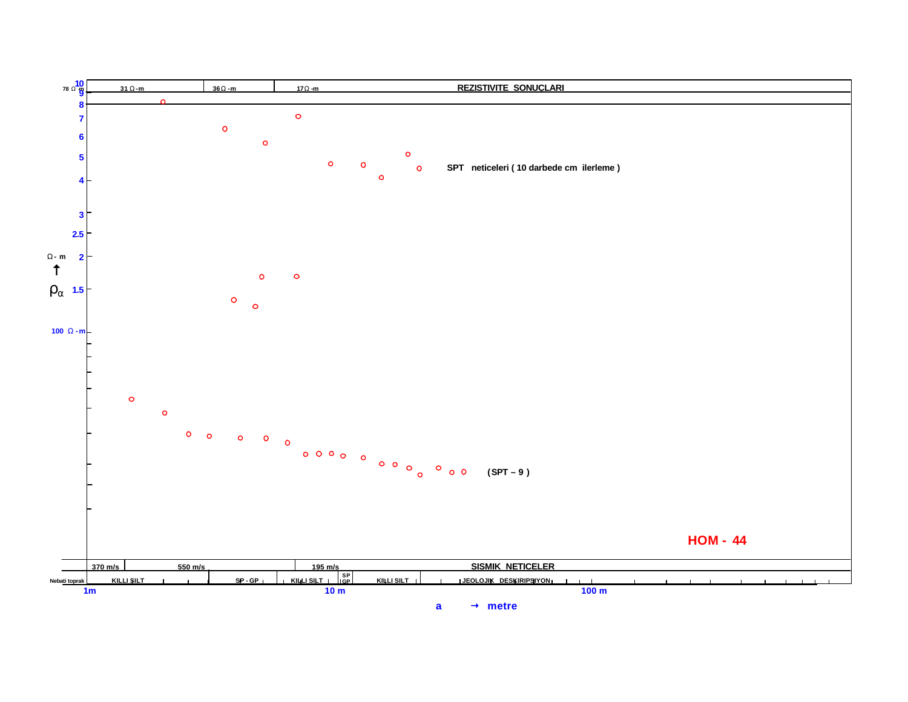![](_page_43_Figure_0.jpeg)